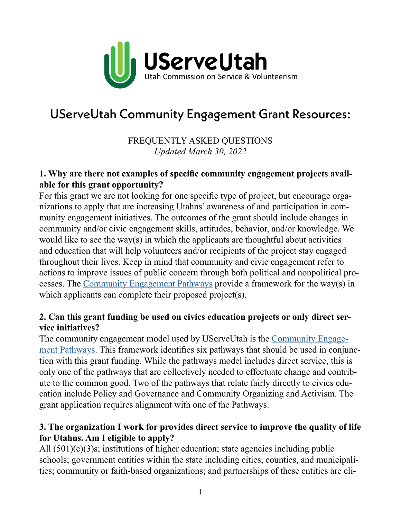

# UServeUtah Community Engagement Grant Resources:

# FREQUENTLY ASKED QUESTIONS *Updated March 30, 2022*

#### **1. Why are there not examples of specific community engagement projects available for this grant opportunity?**

For this grant we are not looking for one specific type of project, but encourage organizations to apply that are increasing Utahns' awareness of and participation in community engagement initiatives. The outcomes of the grant should include changes in community and/or civic engagement skills, attitudes, behavior, and/or knowledge. We would like to see the way(s) in which the applicants are thoughtful about activities and education that will help volunteers and/or recipients of the project stay engaged throughout their lives. Keep in mind that community and civic engagement refer to actions to improve issues of public concern through both political and nonpolitical processes. The [Community Engagement Pathways](https://userve.utah.gov/pathways/) provide a framework for the way(s) in which applicants can complete their proposed project(s).

### **2. Can this grant funding be used on civics education projects or only direct service initiatives?**

The community engagement model used by UServeUtah is the [Community Engage](http://Community Engagement Pathways)[ment Pathways](http://Community Engagement Pathways). This framework identifies six pathways that should be used in conjunction with this grant funding. While the pathways model includes direct service, this is only one of the pathways that are collectively needed to effectuate change and contribute to the common good. Two of the pathways that relate fairly directly to civics education include Policy and Governance and Community Organizing and Activism. The grant application requires alignment with one of the Pathways.

### **3. The organization I work for provides direct service to improve the quality of life for Utahns. Am I eligible to apply?**

All (501)(c)(3)s; institutions of higher education; state agencies including public schools; government entities within the state including cities, counties, and municipalities; community or faith-based organizations; and partnerships of these entities are eli-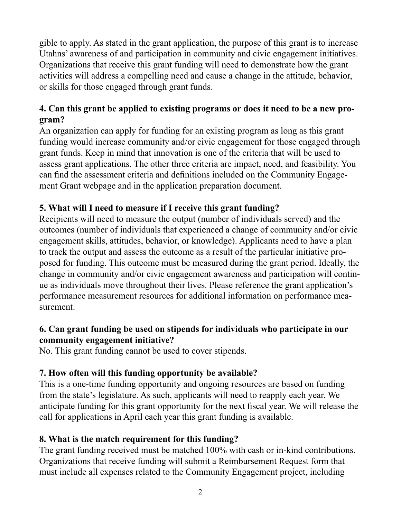gible to apply. As stated in the grant application, the purpose of this grant is to increase Utahns' awareness of and participation in community and civic engagement initiatives. Organizations that receive this grant funding will need to demonstrate how the grant activities will address a compelling need and cause a change in the attitude, behavior, or skills for those engaged through grant funds.

# **4. Can this grant be applied to existing programs or does it need to be a new program?**

An organization can apply for funding for an existing program as long as this grant funding would increase community and/or civic engagement for those engaged through grant funds. Keep in mind that innovation is one of the criteria that will be used to assess grant applications. The other three criteria are impact, need, and feasibility. You can find the assessment criteria and definitions included on the Community Engagement Grant webpage and in the application preparation document.

## **5. What will I need to measure if I receive this grant funding?**

Recipients will need to measure the output (number of individuals served) and the outcomes (number of individuals that experienced a change of community and/or civic engagement skills, attitudes, behavior, or knowledge). Applicants need to have a plan to track the output and assess the outcome as a result of the particular initiative proposed for funding. This outcome must be measured during the grant period. Ideally, the change in community and/or civic engagement awareness and participation will continue as individuals move throughout their lives. Please reference the grant application's performance measurement resources for additional information on performance measurement.

## **6. Can grant funding be used on stipends for individuals who participate in our community engagement initiative?**

No. This grant funding cannot be used to cover stipends.

## **7. How often will this funding opportunity be available?**

This is a one-time funding opportunity and ongoing resources are based on funding from the state's legislature. As such, applicants will need to reapply each year. We anticipate funding for this grant opportunity for the next fiscal year. We will release the call for applications in April each year this grant funding is available.

## **8. What is the match requirement for this funding?**

The grant funding received must be matched 100% with cash or in-kind contributions. Organizations that receive funding will submit a Reimbursement Request form that must include all expenses related to the Community Engagement project, including